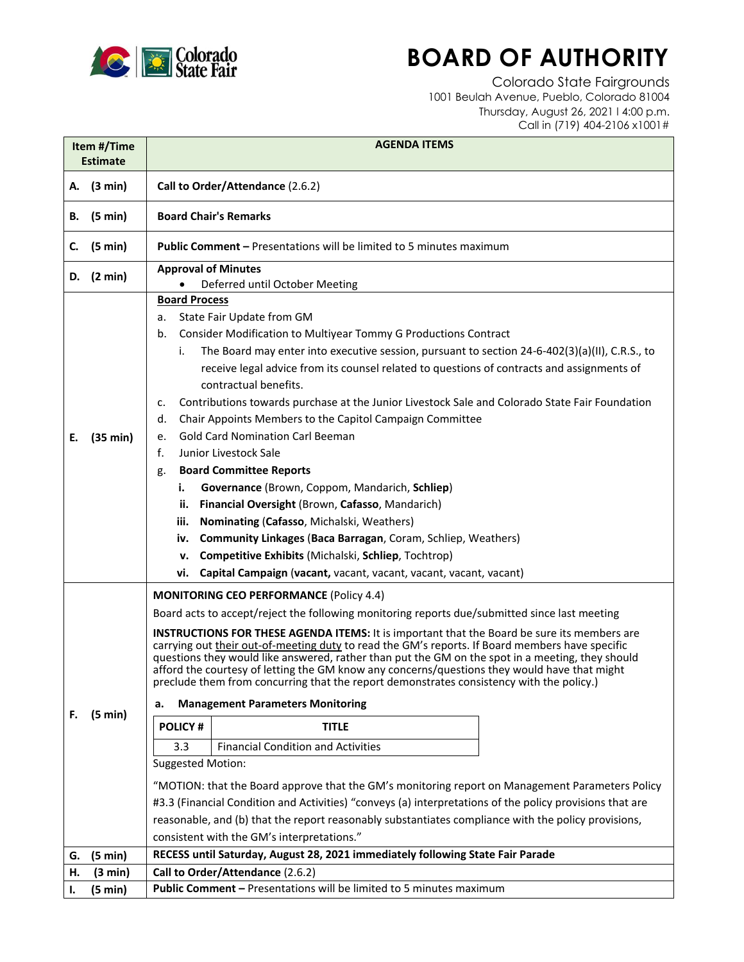

## **BOARD OF AUTHORITY**

Colorado State Fairgrounds 1001 Beulah Avenue, Pueblo, Colorado 81004 Thursday, August 26, 2021 l 4:00 p.m. Call in (719) 404-2106 x1001#

| Item #/Time<br><b>Estimate</b> |                   | <b>AGENDA ITEMS</b>                                                                                                                                                                                                                                                                                                                                                                                                                                                                                                                                                                                                                                                                                                                                                                                                                                                                                                                                                                                                                                                                                                                                                                             |
|--------------------------------|-------------------|-------------------------------------------------------------------------------------------------------------------------------------------------------------------------------------------------------------------------------------------------------------------------------------------------------------------------------------------------------------------------------------------------------------------------------------------------------------------------------------------------------------------------------------------------------------------------------------------------------------------------------------------------------------------------------------------------------------------------------------------------------------------------------------------------------------------------------------------------------------------------------------------------------------------------------------------------------------------------------------------------------------------------------------------------------------------------------------------------------------------------------------------------------------------------------------------------|
|                                | A. (3 min)        | Call to Order/Attendance (2.6.2)                                                                                                                                                                                                                                                                                                                                                                                                                                                                                                                                                                                                                                                                                                                                                                                                                                                                                                                                                                                                                                                                                                                                                                |
| В.                             | (5 min)           | <b>Board Chair's Remarks</b>                                                                                                                                                                                                                                                                                                                                                                                                                                                                                                                                                                                                                                                                                                                                                                                                                                                                                                                                                                                                                                                                                                                                                                    |
| C.                             | $(5 \text{ min})$ | <b>Public Comment - Presentations will be limited to 5 minutes maximum</b>                                                                                                                                                                                                                                                                                                                                                                                                                                                                                                                                                                                                                                                                                                                                                                                                                                                                                                                                                                                                                                                                                                                      |
|                                | D. $(2 min)$      | <b>Approval of Minutes</b><br>Deferred until October Meeting                                                                                                                                                                                                                                                                                                                                                                                                                                                                                                                                                                                                                                                                                                                                                                                                                                                                                                                                                                                                                                                                                                                                    |
| Е.                             | (35 min)          | <b>Board Process</b><br>State Fair Update from GM<br>а.<br>Consider Modification to Multiyear Tommy G Productions Contract<br>b.<br>The Board may enter into executive session, pursuant to section 24-6-402(3)(a)(II), C.R.S., to<br>i.<br>receive legal advice from its counsel related to questions of contracts and assignments of<br>contractual benefits.<br>Contributions towards purchase at the Junior Livestock Sale and Colorado State Fair Foundation<br>c.<br>Chair Appoints Members to the Capitol Campaign Committee<br>d.<br><b>Gold Card Nomination Carl Beeman</b><br>e.<br>f.<br>Junior Livestock Sale<br><b>Board Committee Reports</b><br>g.<br>i.<br>Governance (Brown, Coppom, Mandarich, Schliep)<br>Financial Oversight (Brown, Cafasso, Mandarich)<br>ii.<br>iii.<br>Nominating (Cafasso, Michalski, Weathers)<br><b>Community Linkages (Baca Barragan, Coram, Schliep, Weathers)</b><br>iv.<br>Competitive Exhibits (Michalski, Schliep, Tochtrop)<br>v.<br>Capital Campaign (vacant, vacant, vacant, vacant, vacant, vacant)<br>vi.                                                                                                                                 |
| F.                             | (5 min)           | <b>MONITORING CEO PERFORMANCE (Policy 4.4)</b><br>Board acts to accept/reject the following monitoring reports due/submitted since last meeting<br><b>INSTRUCTIONS FOR THESE AGENDA ITEMS:</b> It is important that the Board be sure its members are<br>carrying out their out-of-meeting duty to read the GM's reports. If Board members have specific<br>questions they would like answered, rather than put the GM on the spot in a meeting, they should<br>afford the courtesy of letting the GM know any concerns/questions they would have that might<br>preclude them from concurring that the report demonstrates consistency with the policy.)<br><b>Management Parameters Monitoring</b><br>a.<br><b>POLICY#</b><br><b>TITLE</b><br><b>Financial Condition and Activities</b><br>3.3<br><b>Suggested Motion:</b><br>"MOTION: that the Board approve that the GM's monitoring report on Management Parameters Policy<br>#3.3 (Financial Condition and Activities) "conveys (a) interpretations of the policy provisions that are<br>reasonable, and (b) that the report reasonably substantiates compliance with the policy provisions,<br>consistent with the GM's interpretations." |
| G.                             | (5 min)           | RECESS until Saturday, August 28, 2021 immediately following State Fair Parade                                                                                                                                                                                                                                                                                                                                                                                                                                                                                                                                                                                                                                                                                                                                                                                                                                                                                                                                                                                                                                                                                                                  |
| н.                             | (3 min)           | Call to Order/Attendance (2.6.2)                                                                                                                                                                                                                                                                                                                                                                                                                                                                                                                                                                                                                                                                                                                                                                                                                                                                                                                                                                                                                                                                                                                                                                |
| I.                             | (5 min)           | Public Comment - Presentations will be limited to 5 minutes maximum                                                                                                                                                                                                                                                                                                                                                                                                                                                                                                                                                                                                                                                                                                                                                                                                                                                                                                                                                                                                                                                                                                                             |